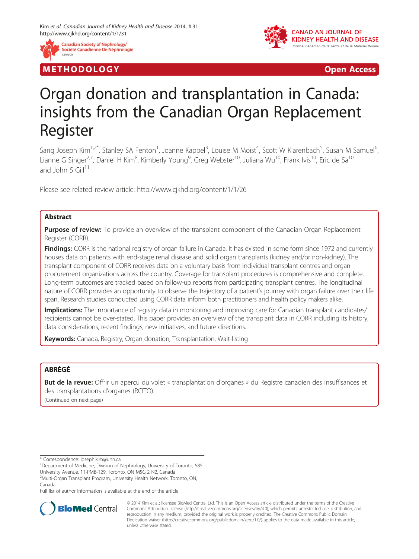

# M E THODO L OGY Open Access



# Organ donation and transplantation in Canada: insights from the Canadian Organ Replacement Register

Sang Joseph Kim<sup>1,2\*</sup>, Stanley SA Fenton<sup>1</sup>, Joanne Kappel<sup>3</sup>, Louise M Moist<sup>4</sup>, Scott W Klarenbach<sup>5</sup>, Susan M Samuel<sup>6</sup> י<br>, Lianne G Singer<sup>2,7</sup>, Daniel H Kim<sup>8</sup>, Kimberly Young<sup>9</sup>, Greg Webster<sup>10</sup>, Juliana Wu<sup>10</sup>, Frank Ivis<sup>10</sup>, Eric de Sa<sup>10</sup> and John  $\zeta$  Gill<sup>11</sup>

Please see related review article: http://www.cjkhd.org/content/1/1/26

# Abstract

Purpose of review: To provide an overview of the transplant component of the Canadian Organ Replacement Register (CORR).

Findings: CORR is the national registry of organ failure in Canada. It has existed in some form since 1972 and currently houses data on patients with end-stage renal disease and solid organ transplants (kidney and/or non-kidney). The transplant component of CORR receives data on a voluntary basis from individual transplant centres and organ procurement organizations across the country. Coverage for transplant procedures is comprehensive and complete. Long-term outcomes are tracked based on follow-up reports from participating transplant centres. The longitudinal nature of CORR provides an opportunity to observe the trajectory of a patient's journey with organ failure over their life span. Research studies conducted using CORR data inform both practitioners and health policy makers alike.

Implications: The importance of registry data in monitoring and improving care for Canadian transplant candidates/ recipients cannot be over-stated. This paper provides an overview of the transplant data in CORR including its history, data considerations, recent findings, new initiatives, and future directions.

Keywords: Canada, Registry, Organ donation, Transplantation, Wait-listing

# ABRÉGÉ

But de la revue: Offrir un aperçu du volet « transplantation d'organes » du Registre canadien des insuffisances et des transplantations d'organes (RCITO).

(Continued on next page)

Full list of author information is available at the end of the article



© 2014 Kim et al.; licensee BioMed Central Ltd. This is an Open Access article distributed under the terms of the Creative Commons Attribution License [\(http://creativecommons.org/licenses/by/4.0\)](http://creativecommons.org/licenses/by/4.0), which permits unrestricted use, distribution, and reproduction in any medium, provided the original work is properly credited. The Creative Commons Public Domain Dedication waiver [\(http://creativecommons.org/publicdomain/zero/1.0/](http://creativecommons.org/publicdomain/zero/1.0/)) applies to the data made available in this article, unless otherwise stated.

<sup>\*</sup> Correspondence: [joseph.kim@uhn.ca](mailto:joseph.kim@uhn.ca) <sup>1</sup>

<sup>&</sup>lt;sup>1</sup>Department of Medicine, Division of Nephrology, University of Toronto, 585 University Avenue, 11-PMB-129, Toronto, ON M5G 2 N2, Canada

<sup>2</sup> Multi-Organ Transplant Program, University Health Network, Toronto, ON, Canada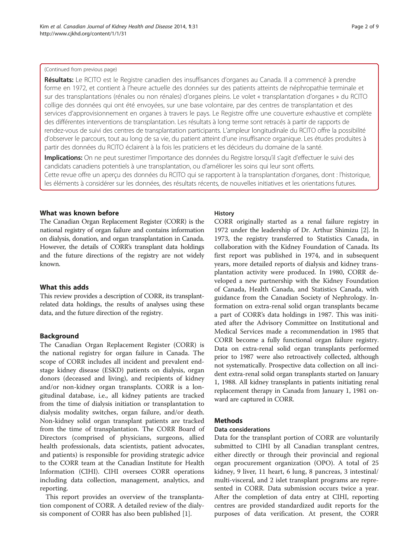#### (Continued from previous page)

Résultats: Le RCITO est le Registre canadien des insuffisances d'organes au Canada. Il a commencé à prendre forme en 1972, et contient à l'heure actuelle des données sur des patients atteints de néphropathie terminale et sur des transplantations (rénales ou non rénales) d'organes pleins. Le volet « transplantation d'organes » du RCITO collige des données qui ont été envoyées, sur une base volontaire, par des centres de transplantation et des services d'approvisionnement en organes à travers le pays. Le Registre offre une couverture exhaustive et complète des différentes interventions de transplantation. Les résultats à long terme sont retracés à partir de rapports de rendez-vous de suivi des centres de transplantation participants. L'ampleur longitudinale du RCITO offre la possibilité d'observer le parcours, tout au long de sa vie, du patient atteint d'une insuffisance organique. Les études produites à partir des données du RCITO éclairent à la fois les praticiens et les décideurs du domaine de la santé.

Implications: On ne peut surestimer l'importance des données du Registre lorsqu'il s'agit d'effectuer le suivi des candidats canadiens potentiels à une transplantation, ou d'améliorer les soins qui leur sont offerts. Cette revue offre un aperçu des données du RCITO qui se rapportent à la transplantation d'organes, dont : l'historique, les éléments à considérer sur les données, des résultats récents, de nouvelles initiatives et les orientations futures.

## What was known before

The Canadian Organ Replacement Register (CORR) is the national registry of organ failure and contains information on dialysis, donation, and organ transplantation in Canada. However, the details of CORR's transplant data holdings and the future directions of the registry are not widely known.

### What this adds

This review provides a description of CORR, its transplantrelated data holdings, the results of analyses using these data, and the future direction of the registry.

## Background

The Canadian Organ Replacement Register (CORR) is the national registry for organ failure in Canada. The scope of CORR includes all incident and prevalent endstage kidney disease (ESKD) patients on dialysis, organ donors (deceased and living), and recipients of kidney and/or non-kidney organ transplants. CORR is a longitudinal database, i.e., all kidney patients are tracked from the time of dialysis initiation or transplantation to dialysis modality switches, organ failure, and/or death. Non-kidney solid organ transplant patients are tracked from the time of transplantation. The CORR Board of Directors (comprised of physicians, surgeons, allied health professionals, data scientists, patient advocates, and patients) is responsible for providing strategic advice to the CORR team at the Canadian Institute for Health Information (CIHI). CIHI oversees CORR operations including data collection, management, analytics, and reporting.

This report provides an overview of the transplantation component of CORR. A detailed review of the dialysis component of CORR has also been published [[1](#page-7-0)].

### **History**

CORR originally started as a renal failure registry in 1972 under the leadership of Dr. Arthur Shimizu [\[2](#page-7-0)]. In 1973, the registry transferred to Statistics Canada, in collaboration with the Kidney Foundation of Canada. Its first report was published in 1974, and in subsequent years, more detailed reports of dialysis and kidney transplantation activity were produced. In 1980, CORR developed a new partnership with the Kidney Foundation of Canada, Health Canada, and Statistics Canada, with guidance from the Canadian Society of Nephrology. Information on extra-renal solid organ transplants became a part of CORR's data holdings in 1987. This was initiated after the Advisory Committee on Institutional and Medical Services made a recommendation in 1985 that CORR become a fully functional organ failure registry. Data on extra-renal solid organ transplants performed prior to 1987 were also retroactively collected, although not systematically. Prospective data collection on all incident extra-renal solid organ transplants started on January 1, 1988. All kidney transplants in patients initiating renal replacement therapy in Canada from January 1, 1981 onward are captured in CORR.

## Methods

#### Data considerations

Data for the transplant portion of CORR are voluntarily submitted to CIHI by all Canadian transplant centres, either directly or through their provincial and regional organ procurement organization (OPO). A total of 25 kidney, 9 liver, 11 heart, 6 lung, 8 pancreas, 3 intestinal/ multi-visceral, and 2 islet transplant programs are represented in CORR. Data submission occurs twice a year. After the completion of data entry at CIHI, reporting centres are provided standardized audit reports for the purposes of data verification. At present, the CORR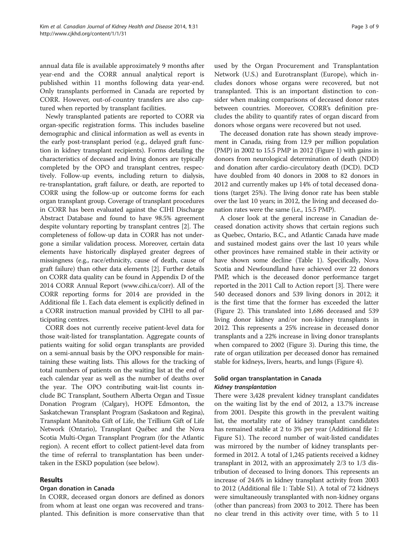annual data file is available approximately 9 months after year-end and the CORR annual analytical report is published within 11 months following data year-end. Only transplants performed in Canada are reported by CORR. However, out-of-country transfers are also captured when reported by transplant facilities.

Newly transplanted patients are reported to CORR via organ-specific registration forms. This includes baseline demographic and clinical information as well as events in the early post-transplant period (e.g., delayed graft function in kidney transplant recipients). Forms detailing the characteristics of deceased and living donors are typically completed by the OPO and transplant centres, respectively. Follow-up events, including return to dialysis, re-transplantation, graft failure, or death, are reported to CORR using the follow-up or outcome forms for each organ transplant group. Coverage of transplant procedures in CORR has been evaluated against the CIHI Discharge Abstract Database and found to have 98.5% agreement despite voluntary reporting by transplant centres [\[2](#page-7-0)]. The completeness of follow-up data in CORR has not undergone a similar validation process. Moreover, certain data elements have historically displayed greater degrees of missingness (e.g., race/ethnicity, cause of death, cause of graft failure) than other data elements [\[2](#page-7-0)]. Further details on CORR data quality can be found in Appendix D of the 2014 CORR Annual Report [\(www.cihi.ca/corr\)](http://www.cihi.ca/corr). All of the CORR reporting forms for 2014 are provided in the Additional file [1](#page-7-0). Each data element is explicitly defined in a CORR instruction manual provided by CIHI to all participating centres.

CORR does not currently receive patient-level data for those wait-listed for transplantation. Aggregate counts of patients waiting for solid organ transplants are provided on a semi-annual basis by the OPO responsible for maintaining these waiting lists. This allows for the tracking of total numbers of patients on the waiting list at the end of each calendar year as well as the number of deaths over the year. The OPO contributing wait-list counts include BC Transplant, Southern Alberta Organ and Tissue Donation Program (Calgary), HOPE Edmonton, the Saskatchewan Transplant Program (Saskatoon and Regina), Transplant Manitoba Gift of Life, the Trillium Gift of Life Network (Ontario), Transplant Québec and the Nova Scotia Multi-Organ Transplant Program (for the Atlantic region). A recent effort to collect patient-level data from the time of referral to transplantation has been undertaken in the ESKD population (see below).

## Results

### Organ donation in Canada

In CORR, deceased organ donors are defined as donors from whom at least one organ was recovered and transplanted. This definition is more conservative than that

used by the Organ Procurement and Transplantation Network (U.S.) and Eurotransplant (Europe), which includes donors whose organs were recovered, but not transplanted. This is an important distinction to consider when making comparisons of deceased donor rates between countries. Moreover, CORR's definition precludes the ability to quantify rates of organ discard from donors whose organs were recovered but not used.

The deceased donation rate has shown steady improvement in Canada, rising from 12.9 per million population (PMP) in 2002 to 15.5 PMP in 2012 (Figure [1\)](#page-3-0) with gains in donors from neurological determination of death (NDD) and donation after cardio-circulatory death (DCD). DCD have doubled from 40 donors in 2008 to 82 donors in 2012 and currently makes up 14% of total deceased donations (target 25%). The living donor rate has been stable over the last 10 years; in 2012, the living and deceased donation rates were the same (i.e., 15.5 PMP).

A closer look at the general increase in Canadian deceased donation activity shows that certain regions such as Quebec, Ontario, B.C., and Atlantic Canada have made and sustained modest gains over the last 10 years while other provinces have remained stable in their activity or have shown some decline (Table [1](#page-3-0)). Specifically, Nova Scotia and Newfoundland have achieved over 22 donors PMP, which is the deceased donor performance target reported in the 2011 Call to Action report [\[3\]](#page-7-0). There were 540 deceased donors and 539 living donors in 2012; it is the first time that the former has exceeded the latter (Figure [2](#page-4-0)). This translated into 1,686 deceased and 539 living donor kidney and/or non-kidney transplants in 2012. This represents a 25% increase in deceased donor transplants and a 22% increase in living donor transplants when compared to 2002 (Figure [3](#page-4-0)). During this time, the rate of organ utilization per deceased donor has remained stable for kidneys, livers, hearts, and lungs (Figure [4](#page-5-0)).

## Solid organ transplantation in Canada Kidney transplantation

There were 3,428 prevalent kidney transplant candidates on the waiting list by the end of 2012, a 13.7% increase from 2001. Despite this growth in the prevalent waiting list, the mortality rate of kidney transplant candidates has remained stable at 2 to 3% per year (Additional file [1](#page-7-0): Figure S1). The record number of wait-listed candidates was mirrored by the number of kidney transplants performed in 2012. A total of 1,245 patients received a kidney transplant in 2012, with an approximately 2/3 to 1/3 distribution of deceased to living donors. This represents an increase of 24.6% in kidney transplant activity from 2003 to 2012 (Additional file [1](#page-7-0): Table S1). A total of 72 kidneys were simultaneously transplanted with non-kidney organs (other than pancreas) from 2003 to 2012. There has been no clear trend in this activity over time, with 5 to 11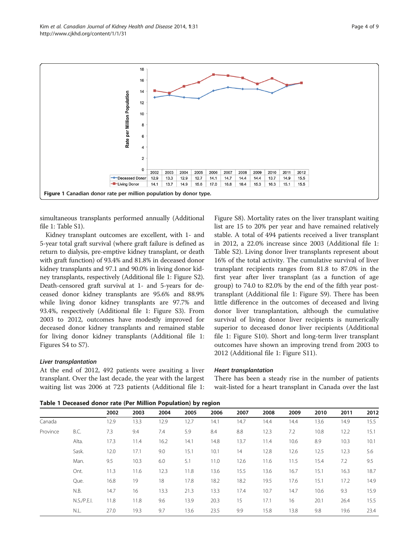file [1](#page-7-0): Table S1).

Kidney transplant outcomes are excellent, with 1- and 5-year total graft survival (where graft failure is defined as return to dialysis, pre-emptive kidney transplant, or death with graft function) of 93.4% and 81.8% in deceased donor kidney transplants and 97.1 and 90.0% in living donor kidney transplants, respectively (Additional file [1:](#page-7-0) Figure S2). Death-censored graft survival at 1- and 5-years for deceased donor kidney transplants are 95.6% and 88.9% while living donor kidney transplants are 97.7% and 93.4%, respectively (Additional file [1](#page-7-0): Figure S3). From 2003 to 2012, outcomes have modestly improved for deceased donor kidney transplants and remained stable for living donor kidney transplants (Additional file [1](#page-7-0): Figures S4 to S7).

#### Liver transplantation

At the end of 2012, 492 patients were awaiting a liver transplant. Over the last decade, the year with the largest waiting list was 2006 at 723 patients (Additional file [1](#page-7-0):

#### Heart transplantation

2012 (Additional file [1:](#page-7-0) Figure S11).

There has been a steady rise in the number of patients wait-listed for a heart transplant in Canada over the last

Table 1 Deceased donor rate (Per Million Population) by region

|          |             | 2002 | 2003 | 2004 | 2005 | 2006 | 2007 | 2008 | 2009 | 2010 | 2011 | 2012 |
|----------|-------------|------|------|------|------|------|------|------|------|------|------|------|
| Canada   |             | 12.9 | 13.3 | 12.9 | 12.7 | 14.1 | 14.7 | 14.4 | 14.4 | 13.6 | 14.9 | 15.5 |
| Province | B.C.        | 7.3  | 9.4  | 7.4  | 5.9  | 8.4  | 8.8  | 12.3 | 7.2  | 10.8 | 12.2 | 15.1 |
|          | Alta.       | 17.3 | 11.4 | 16.2 | 14.1 | 14.8 | 13.7 | 11.4 | 10.6 | 8.9  | 10.3 | 10.1 |
|          | Sask.       | 12.0 | 17.1 | 9.0  | 15.1 | 10.1 | 14   | 12.8 | 12.6 | 12.5 | 12.3 | 5.6  |
|          | Man.        | 9.5  | 10.3 | 6.0  | 5.1  | 11.0 | 12.6 | 11.6 | 11.5 | 15.4 | 7.2  | 9.5  |
|          | Ont.        | 11.3 | 11.6 | 12.3 | 11.8 | 13.6 | 15.5 | 13.6 | 16.7 | 15.1 | 16.3 | 18.7 |
|          | Que.        | 16.8 | 19   | 18   | 17.8 | 18.2 | 18.2 | 19.5 | 17.6 | 15.1 | 17.2 | 14.9 |
|          | N.B.        | 14.7 | 16   | 13.3 | 21.3 | 13.3 | 17.4 | 10.7 | 14.7 | 10.6 | 9.3  | 15.9 |
|          | N.S./P.E.I. | 11.8 | 11.8 | 9.6  | 13.9 | 20.3 | 15   | 17.1 | 16   | 20.1 | 26.4 | 15.5 |
|          | N.L.        | 27.0 | 19.3 | 9.7  | 13.6 | 23.5 | 9.9  | 15.8 | 13.8 | 9.8  | 19.6 | 23.4 |



Figure 1 Canadian donor rate per million population by donor type.

- Living Donor

Deceased Dono

<span id="page-3-0"></span>Rate per Million Population

Figure S8). Mortality rates on the liver transplant waiting list are 15 to 20% per year and have remained relatively stable. A total of 494 patients received a liver transplant in 2012, a 22.0% increase since 2003 (Additional file [1](#page-7-0): Table S2). Living donor liver transplants represent about 16% of the total activity. The cumulative survival of liver transplant recipients ranges from 81.8 to 87.0% in the first year after liver transplant (as a function of age group) to 74.0 to 82.0% by the end of the fifth year posttransplant (Additional file [1](#page-7-0): Figure S9). There has been little difference in the outcomes of deceased and living donor liver transplantation, although the cumulative survival of living donor liver recipients is numerically superior to deceased donor liver recipients (Additional file [1:](#page-7-0) Figure S10). Short and long-term liver transplant outcomes have shown an improving trend from 2003 to

18 16  $14$ 

2003

 $13.3$ 

13.7

12.9

 $14.1$ 

2004

12.9

14.9

2005

 $12.7$ 

15.6  $\begin{array}{|c|c|}\n\hline\n17.0\n\end{array}$ 

2006

 $14.1$ 

2007

 $14.7$ 

 $16.8$  16.4

2008

14.4

2009

 $14.4$ 

15.3

 $2010$ 2011

 $13.7$ 

 $16.3$  15.1

 $14.9$ 

2012

15.5

15.5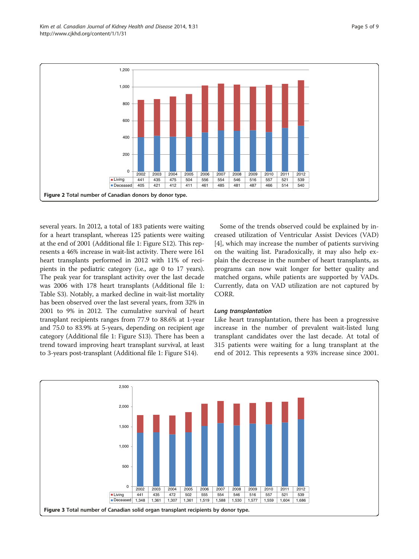<span id="page-4-0"></span>

several years. In 2012, a total of 183 patients were waiting for a heart transplant, whereas 125 patients were waiting at the end of 2001 (Additional file [1:](#page-7-0) Figure S12). This represents a 46% increase in wait-list activity. There were 161 heart transplants performed in 2012 with 11% of recipients in the pediatric category (i.e., age 0 to 17 years). The peak year for transplant activity over the last decade was 2006 with 178 heart transplants (Additional file [1](#page-7-0): Table S3). Notably, a marked decline in wait-list mortality has been observed over the last several years, from 32% in 2001 to 9% in 2012. The cumulative survival of heart transplant recipients ranges from 77.9 to 88.6% at 1-year and 75.0 to 83.9% at 5-years, depending on recipient age category (Additional file [1:](#page-7-0) Figure S13). There has been a trend toward improving heart transplant survival, at least to 3-years post-transplant (Additional file [1](#page-7-0): Figure S14).

Some of the trends observed could be explained by increased utilization of Ventricular Assist Devices (VAD) [[4\]](#page-7-0), which may increase the number of patients surviving on the waiting list. Paradoxically, it may also help explain the decrease in the number of heart transplants, as programs can now wait longer for better quality and matched organs, while patients are supported by VADs. Currently, data on VAD utilization are not captured by CORR.

### Lung transplantation

Like heart transplantation, there has been a progressive increase in the number of prevalent wait-listed lung transplant candidates over the last decade. At total of 315 patients were waiting for a lung transplant at the end of 2012. This represents a 93% increase since 2001.

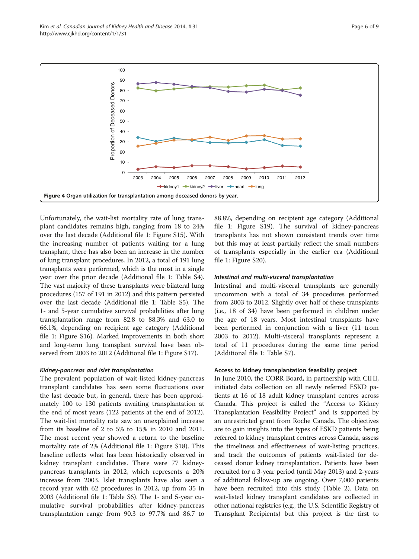Unfortunately, the wait-list mortality rate of lung transplant candidates remains high, ranging from 18 to 24% over the last decade (Additional file [1:](#page-7-0) Figure S15). With the increasing number of patients waiting for a lung transplant, there has also been an increase in the number of lung transplant procedures. In 2012, a total of 191 lung transplants were performed, which is the most in a single year over the prior decade (Additional file [1](#page-7-0): Table S4). The vast majority of these transplants were bilateral lung procedures (157 of 191 in 2012) and this pattern persisted over the last decade (Additional file [1:](#page-7-0) Table S5). The 1- and 5-year cumulative survival probabilities after lung transplantation range from 82.8 to 88.3% and 63.0 to 66.1%, depending on recipient age category (Additional file [1:](#page-7-0) Figure S16). Marked improvements in both short and long-term lung transplant survival have been observed from 2003 to 2012 (Additional file [1](#page-7-0): Figure S17).

#### Kidney-pancreas and islet transplantation

The prevalent population of wait-listed kidney-pancreas transplant candidates has seen some fluctuations over the last decade but, in general, there has been approximately 100 to 130 patients awaiting transplantation at the end of most years (122 patients at the end of 2012). The wait-list mortality rate saw an unexplained increase from its baseline of 2 to 5% to 15% in 2010 and 2011. The most recent year showed a return to the baseline mortality rate of 2% (Additional file [1:](#page-7-0) Figure S18). This baseline reflects what has been historically observed in kidney transplant candidates. There were 77 kidneypancreas transplants in 2012, which represents a 20% increase from 2003. Islet transplants have also seen a record year with 62 procedures in 2012, up from 35 in 2003 (Additional file [1:](#page-7-0) Table S6). The 1- and 5-year cumulative survival probabilities after kidney-pancreas transplantation range from 90.3 to 97.7% and 86.7 to 88.8%, depending on recipient age category (Additional file [1:](#page-7-0) Figure S19). The survival of kidney-pancreas transplants has not shown consistent trends over time but this may at least partially reflect the small numbers of transplants especially in the earlier era (Additional file [1:](#page-7-0) Figure S20).

#### Intestinal and multi-visceral transplantation

Intestinal and multi-visceral transplants are generally uncommon with a total of 34 procedures performed from 2003 to 2012. Slightly over half of these transplants (i.e., 18 of 34) have been performed in children under the age of 18 years. Most intestinal transplants have been performed in conjunction with a liver (11 from 2003 to 2012). Multi-visceral transplants represent a total of 11 procedures during the same time period (Additional file [1](#page-7-0): Table S7).

#### Access to kidney transplantation feasibility project

In June 2010, the CORR Board, in partnership with CIHI, initiated data collection on all newly referred ESKD patients at 16 of 18 adult kidney transplant centres across Canada. This project is called the "Access to Kidney Transplantation Feasibility Project" and is supported by an unrestricted grant from Roche Canada. The objectives are to gain insights into the types of ESKD patients being referred to kidney transplant centres across Canada, assess the timeliness and effectiveness of wait-listing practices, and track the outcomes of patients wait-listed for deceased donor kidney transplantation. Patients have been recruited for a 3-year period (until May 2013) and 2-years of additional follow-up are ongoing. Over 7,000 patients have been recruited into this study (Table [2](#page-6-0)). Data on wait-listed kidney transplant candidates are collected in other national registries (e.g., the U.S. Scientific Registry of Transplant Recipients) but this project is the first to

<span id="page-5-0"></span>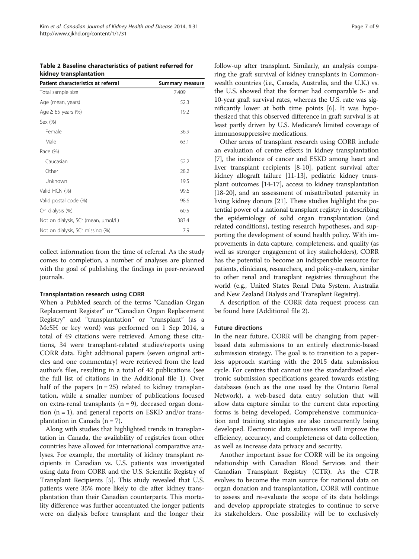<span id="page-6-0"></span>Table 2 Baseline characteristics of patient referred for kidney transplantation

| Patient characteristics at referral | <b>Summary measure</b> |  |  |  |  |
|-------------------------------------|------------------------|--|--|--|--|
| Total sample size                   | 7,409                  |  |  |  |  |
| Age (mean, years)                   | 52.3                   |  |  |  |  |
| Age $\geq$ 65 years (%)             | 19.2                   |  |  |  |  |
| Sex (%)                             |                        |  |  |  |  |
| Female                              | 36.9                   |  |  |  |  |
| Male                                | 63.1                   |  |  |  |  |
| Race (%)                            |                        |  |  |  |  |
| Caucasian                           | 52.2                   |  |  |  |  |
| Other                               | 28.2                   |  |  |  |  |
| Unknown                             | 19.5                   |  |  |  |  |
| Valid HCN (%)                       | 99.6                   |  |  |  |  |
| Valid postal code (%)               | 98.6                   |  |  |  |  |
| On dialysis (%)                     | 60.5                   |  |  |  |  |
| Not on dialysis, SCr (mean, µmol/L) | 383.4                  |  |  |  |  |
| Not on dialysis, SCr missing (%)    | 7.9                    |  |  |  |  |

collect information from the time of referral. As the study comes to completion, a number of analyses are planned with the goal of publishing the findings in peer-reviewed journals.

### Transplantation research using CORR

When a PubMed search of the terms "Canadian Organ Replacement Register" or "Canadian Organ Replacement Registry" and "transplantation" or "transplant" (as a MeSH or key word) was performed on 1 Sep 2014, a total of 49 citations were retrieved. Among these citations, 34 were transplant-related studies/reports using CORR data. Eight additional papers (seven original articles and one commentary) were retrieved from the lead author's files, resulting in a total of 42 publications (see the full list of citations in the Additional file [1](#page-7-0)). Over half of the papers  $(n = 25)$  related to kidney transplantation, while a smaller number of publications focused on extra-renal transplants  $(n = 9)$ , deceased organ donation  $(n = 1)$ , and general reports on ESKD and/or transplantation in Canada  $(n = 7)$ .

Along with studies that highlighted trends in transplantation in Canada, the availability of registries from other countries have allowed for international comparative analyses. For example, the mortality of kidney transplant recipients in Canadian vs. U.S. patients was investigated using data from CORR and the U.S. Scientific Registry of Transplant Recipients [[5\]](#page-7-0). This study revealed that U.S. patients were 35% more likely to die after kidney transplantation than their Canadian counterparts. This mortality difference was further accentuated the longer patients were on dialysis before transplant and the longer their follow-up after transplant. Similarly, an analysis comparing the graft survival of kidney transplants in Commonwealth countries (i.e., Canada, Australia, and the U.K.) vs. the U.S. showed that the former had comparable 5- and 10-year graft survival rates, whereas the U.S. rate was significantly lower at both time points [[6\]](#page-7-0). It was hypothesized that this observed difference in graft survival is at least partly driven by U.S. Medicare's limited coverage of immunosuppressive medications.

Other areas of transplant research using CORR include an evaluation of centre effects in kidney transplantation [[7\]](#page-7-0), the incidence of cancer and ESKD among heart and liver transplant recipients [\[8](#page-7-0)-[10](#page-7-0)], patient survival after kidney allograft failure [[11-13\]](#page-7-0), pediatric kidney transplant outcomes [\[14-](#page-7-0)[17\]](#page-8-0), access to kidney transplantation [[18](#page-8-0)-[20\]](#page-8-0), and an assessment of misattributed paternity in living kidney donors [[21](#page-8-0)]. These studies highlight the potential power of a national transplant registry in describing the epidemiology of solid organ transplantation (and related conditions), testing research hypotheses, and supporting the development of sound health policy. With improvements in data capture, completeness, and quality (as well as stronger engagement of key stakeholders), CORR has the potential to become an indispensible resource for patients, clinicians, researchers, and policy-makers, similar to other renal and transplant registries throughout the world (e.g., United States Renal Data System, Australia and New Zealand Dialysis and Transplant Registry).

A description of the CORR data request process can be found here (Additional file [2](#page-7-0)).

#### Future directions

In the near future, CORR will be changing from paperbased data submissions to an entirely electronic-based submission strategy. The goal is to transition to a paperless approach starting with the 2015 data submission cycle. For centres that cannot use the standardized electronic submission specifications geared towards existing databases (such as the one used by the Ontario Renal Network), a web-based data entry solution that will allow data capture similar to the current data reporting forms is being developed. Comprehensive communication and training strategies are also concurrently being developed. Electronic data submissions will improve the efficiency, accuracy, and completeness of data collection, as well as increase data privacy and security.

Another important issue for CORR will be its ongoing relationship with Canadian Blood Services and their Canadian Transplant Registry (CTR). As the CTR evolves to become the main source for national data on organ donation and transplantation, CORR will continue to assess and re-evaluate the scope of its data holdings and develop appropriate strategies to continue to serve its stakeholders. One possibility will be to exclusively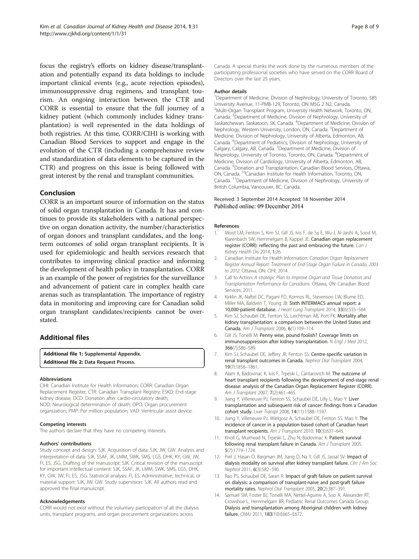<span id="page-7-0"></span>focus the registry's efforts on kidney disease/transplantation and potentially expand its data holdings to include important clinical events (e.g., acute rejection episodes), immunosuppressive drug regimens, and transplant tourism. An ongoing interaction between the CTR and CORR is essential to ensure that the full journey of a kidney patient (which commonly includes kidney transplantation) is well represented in the data holdings of both registries. At this time, CORR/CIHI is working with Canadian Blood Services to support and engage in the evolution of the CTR (including a comprehensive review and standardization of data elements to be captured in the CTR) and progress on this issue is being followed with great interest by the renal and transplant communities.

## Conclusion

CORR is an important source of information on the status of solid organ transplantation in Canada. It has and continues to provide its stakeholders with a national perspective on organ donation activity, the number/characteristics of organ donors and transplant candidates, and the longterm outcomes of solid organ transplant recipients. It is used for epidemiologic and health services research that contributes to improving clinical practice and informing the development of health policy in transplantation. CORR is an example of the power of registries for the surveillance and advancement of patient care in complex health care arenas such as transplantation. The importance of registry data in monitoring and improving care for Canadian solid organ transplant candidates/recipients cannot be overstated.

# Additional files

[Additional file 1:](http://www.cjkhd.org/content/supplementary/s40697-014-0031-8-s1.ppt) Supplemental Appendix. [Additional file 2:](http://www.cjkhd.org/content/supplementary/s40697-014-0031-8-s2.pdf) Data Request Process.

#### Abbreviations

CIHI: Canadian Institute for Health Information; CORR: Canadian Organ Replacement Register; CTR: Canadian Transplant Registry; ESKD: End-stage kidney disease; DCD: Donation after cardio-circulatory death; NDD: Neurological determination of death; OPO: Organ procurement organization; PMP: Per million population; VAD: Ventricular assist device.

#### Competing interests

The authors declare that they have no competing interests.

#### Authors' contributions

Study concept and design: SJK. Acquisition of data: SJK, JW, GW. Analysis and interpretation of data: SJK, SSAF, JK, LMM, SWK, SMS, LGS, DHK, KY, GW, JW, FI, ES, JSG. Drafting of the manuscript: SJK. Critical revision of the manuscript for important intellectual content: SJK, SSAF, JK, LMM, SWK, SMS, LGS, DHK, KY, GW, JW, FI, ES, JSG. Statistical analysis: FI, ES. Administrative, technical, or material support: SJK, JW, GW. Study supervision: SJK. All authors read and approved the final manuscript.

#### Acknowledgements

CORR would not exist without the voluntary participation of all the dialysis units, transplant programs, and organ procurement organizations across

Canada. A special thanks the work done by the numerous members of the participating professional societies who have served on the CORR Board of Directors over the last 25 years.

#### Author details

<sup>1</sup>Department of Medicine, Division of Nephrology, University of Toronto, 585 University Avenue, 11-PMB-129, Toronto, ON M5G 2 N2, Canada. <sup>2</sup>Multi-Organ Transplant Program, University Health Network, Toronto, ON Canada. <sup>3</sup>Department of Medicine, Division of Nephrology, University of Saskatchewan, Saskatoon, SK, Canada. <sup>4</sup>Department of Medicine, Division of Nephrology, Western University, London, ON, Canada. <sup>5</sup>Department of Medicine, Division of Nephrology, University of Alberta, Edmonton, AB, Canada. <sup>6</sup>Department of Pediatrics, Division of Nephrology, University of Calgary, Calgary, AB, Canada. <sup>7</sup> Department of Medicine, Division of Respirology, University of Toronto, Toronto, ON, Canada. <sup>8</sup>Department of Medicine, Division of Cardiology, University of Alberta, Edmonton, AB, Canada. <sup>9</sup> Donation and Transplantation, Canadian Blood Services, Ottawa, ON, Canada. <sup>10</sup>Canadian Institute for Health Information, Toronto, ON, Canada. 11Department of Medicine, Division of Nephrology, University of British Columbia, Vancouver, BC, Canada.

#### Received: 3 September 2014 Accepted: 18 November 2014 Published online: 09 December 2014

#### References

- 1. Moist LM, Fenton S, Kim SJ, Gill JS, Ivis F, de Sa E, Wu J, Al-Jaishi A, Sood M, Klarenbach SW, Hemmelgarn B, Kappel JE: Canadian organ replacement register (CORR): reflecting the past and embracing the future. Can J Kidney Health Dis 2014, 1:26.
- 2. Canadian Institute for Health Information: Canadian Organ Replacement Register Annual Report: Treatment of End-Stage Organ Failure in Canada, 2003 to 2012. Ottawa, ON: CIHI; 2014.
- 3. Call to Action: A strategic Plan to Improve Organ and Tissue Donation and Transplantation Performance for Canadians. Ottawa, ON: Canadian Blood Services; 2011.
- 4. Kirklin JK, Naftel DC, Pagani FD, Kormos RL, Stevenson LW, Blume ED, Miller MA, Baldwin T, Young JB: Sixth INTERMACS annual report: a 10,000-patient database. J Heart Lung Transplant 2014, 33(6):555–564.
- 5. Kim SJ, Schaubel DE, Fenton SS, Leichtman AB, Port FK: Mortality after kidney transplantation: a comparison between the United States and Canada. Am J Transplant 2006, 6(1):109–114.
- 6. Gill JS, Tonelli M: Penny wise, pound foolish? Coverage limits on immunosuppression after kidney transplantation. N Engl J Med 2012, 366(7):586–589.
- 7. Kim SJ, Schaubel DE, Jeffery JR, Fenton SS: Centre-specific variation in renal transplant outcomes in Canada. Nephrol Dial Transplant 2004, 19(7):1856–1861.
- 8. Alam A, Badovinac K, Ivis F, Trpeski L, Cantarovich M: The outcome of heart transplant recipients following the development of end-stage renal disease: analysis of the Canadian Organ Replacement Register (CORR). Am J Transplant 2007, 7(2):461–465.
- 9. Jiang Y, Villeneuve PJ, Fenton SS, Schaubel DE, Lilly L, Mao Y: Liver transplantation and subsequent risk of cancer: findings from a Canadian cohort study. Liver Transpl 2008, 14(11):1588–1597.
- 10. Jiang Y, Villeneuve PJ, Wielgosz A, Schaubel DE, Fenton SS, Mao Y: The incidence of cancer in a population-based cohort of Canadian heart transplant recipients. Am J Transplant 2010, 10(3):637–645.
- 11. Knoll G, Muirhead N, Trpeski L, Zhu N, Badovinac K: Patient survival following renal transplant failure in Canada. Am J Transplant 2005, 5(7):1719–1724.
- 12. Perl J, Hasan O, Bargman JM, Jiang D, Na Y, Gill JS, Jassal SV: Impact of dialysis modality on survival after kidney transplant failure. Clin J Am Soc Nephrol 2011, 6(3):582–590.
- 13. Rao PS, Schaubel DE, Saran R: Impact of graft failure on patient survival on dialysis: a comparison of transplant-naive and post-graft failure mortality rates. Nephrol Dial Transplant 2005, 20(2):387–391.
- 14. Samuel SM, Foster BJ, Tonelli MA, Nettel-Aguirre A, Soo A, Alexander RT, Crowshoe L, Hemmelgarn BR, Pediatric Renal Outcomes Canada Group: Dialysis and transplantation among Aboriginal children with kidney failure. CMAJ 2011, 183(10):E665–E672.